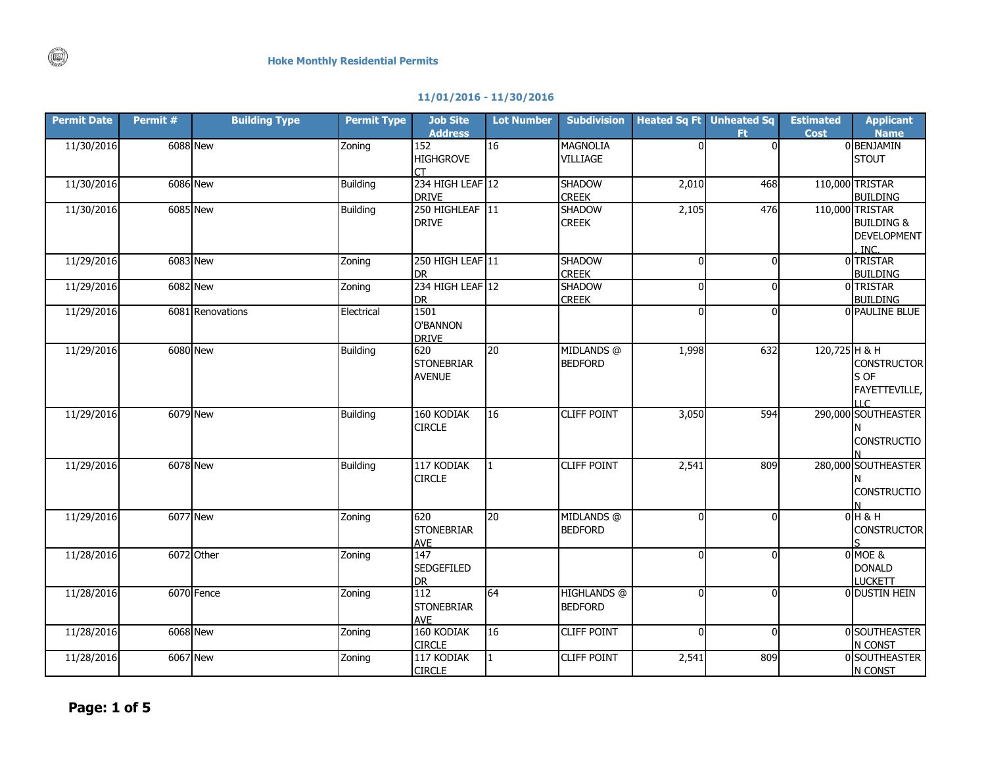## **11/01/2016 - 11/30/2016**

| <b>Permit Date</b> | Permit# | <b>Building Type</b> | <b>Permit Type</b> | <b>Job Site</b><br><b>Address</b> | <b>Lot Number</b> | <b>Subdivision</b>            |          | <b>Heated Sq Ft</b> Unheated Sq<br>Ft. | <b>Estimated</b><br><b>Cost</b> | <b>Applicant</b><br><b>Name</b>          |
|--------------------|---------|----------------------|--------------------|-----------------------------------|-------------------|-------------------------------|----------|----------------------------------------|---------------------------------|------------------------------------------|
| 11/30/2016         |         | <b>6088</b> New      | Zoning             | 152                               | 16                | <b>MAGNOLIA</b>               | $\Omega$ | $\Omega$                               |                                 | 0 BENJAMIN                               |
|                    |         |                      |                    | <b>HIGHGROVE</b>                  |                   | <b>VILLIAGE</b>               |          |                                        |                                 | <b>STOUT</b>                             |
| 11/30/2016         |         | <b>6086</b> New      | <b>Building</b>    | 234 HIGH LEAF 12                  |                   | <b>SHADOW</b>                 | 2,010    | 468                                    |                                 | 110,000 TRISTAR                          |
|                    |         |                      |                    | <b>DRIVE</b>                      |                   | <b>CREEK</b>                  |          |                                        |                                 | <b>BUILDING</b>                          |
| 11/30/2016         |         | <b>6085</b> New      | <b>Building</b>    | 250 HIGHLEAF 11                   |                   | <b>SHADOW</b>                 | 2,105    | 476                                    |                                 | 110,000 TRISTAR<br><b>BUILDING &amp;</b> |
|                    |         |                      |                    | <b>DRIVE</b>                      |                   | <b>CREEK</b>                  |          |                                        |                                 | <b>DEVELOPMENT</b>                       |
|                    |         |                      |                    |                                   |                   |                               |          |                                        |                                 | INC.                                     |
| 11/29/2016         |         | 6083 New             | Zoning             | 250 HIGH LEAF 11                  |                   | <b>SHADOW</b>                 | $\Omega$ | O                                      |                                 | 0 TRISTAR                                |
|                    |         |                      |                    | DR.                               |                   | <b>CREEK</b>                  |          |                                        |                                 | <b>BUILDING</b>                          |
| 11/29/2016         |         | <b>6082</b> New      | Zoning             | 234 HIGH LEAF 12<br><b>DR</b>     |                   | <b>SHADOW</b><br><b>CREEK</b> | $\Omega$ | U                                      |                                 | 0 TRISTAR<br><b>BUILDING</b>             |
| 11/29/2016         |         | 6081 Renovations     | Electrical         | 1501                              |                   |                               | $\Omega$ | $\Omega$                               |                                 | 0 PAULINE BLUE                           |
|                    |         |                      |                    | O'BANNON                          |                   |                               |          |                                        |                                 |                                          |
|                    |         |                      |                    | <b>DRIVE</b>                      |                   |                               |          |                                        |                                 |                                          |
| 11/29/2016         |         | <b>6080 New</b>      | <b>Building</b>    | 620<br><b>STONEBRIAR</b>          | 20                | MIDLANDS @<br><b>BEDFORD</b>  | 1,998    | 632                                    | 120,725 H & H                   | <b>CONSTRUCTOR</b>                       |
|                    |         |                      |                    | <b>AVENUE</b>                     |                   |                               |          |                                        |                                 | S OF                                     |
|                    |         |                      |                    |                                   |                   |                               |          |                                        |                                 | FAYETTEVILLE,                            |
|                    |         |                      |                    |                                   |                   |                               |          |                                        |                                 | $\sqcup$ C                               |
| 11/29/2016         |         | 6079 New             | <b>Building</b>    | 160 KODIAK<br><b>CIRCLE</b>       | 16                | <b>CLIFF POINT</b>            | 3,050    | 594                                    |                                 | 290,000 SOUTHEASTER                      |
|                    |         |                      |                    |                                   |                   |                               |          |                                        |                                 | <b>CONSTRUCTIO</b>                       |
|                    |         |                      |                    |                                   |                   |                               |          |                                        |                                 |                                          |
| 11/29/2016         |         | <b>6078</b> New      | <b>Building</b>    | 117 KODIAK                        |                   | <b>CLIFF POINT</b>            | 2,541    | 809                                    |                                 | 280,000 SOUTHEASTER                      |
|                    |         |                      |                    | <b>CIRCLE</b>                     |                   |                               |          |                                        |                                 |                                          |
|                    |         |                      |                    |                                   |                   |                               |          |                                        |                                 | <b>CONSTRUCTIO</b>                       |
| 11/29/2016         |         | <b>6077 New</b>      | Zoning             | 620                               | 20                | MIDLANDS @                    | $\Omega$ | ΩI                                     |                                 | $0H$ &H                                  |
|                    |         |                      |                    | <b>STONEBRIAR</b>                 |                   | <b>BEDFORD</b>                |          |                                        |                                 | <b>CONSTRUCTOR</b>                       |
| 11/28/2016         |         | 6072 Other           | Zoning             | <b>AVE</b><br>147                 |                   |                               | $\Omega$ | $\Omega$                               |                                 | 0 MOE &                                  |
|                    |         |                      |                    | <b>SEDGEFILED</b>                 |                   |                               |          |                                        |                                 | <b>DONALD</b>                            |
|                    |         |                      |                    | <b>DR</b>                         |                   |                               |          |                                        |                                 | <b>LUCKETT</b>                           |
| 11/28/2016         |         | 6070 Fence           | Zoning             | 112                               | 64                | <b>HIGHLANDS</b> @            | $\Omega$ | ΩI                                     |                                 | 0 DUSTIN HEIN                            |
|                    |         |                      |                    | <b>STONEBRIAR</b>                 |                   | <b>BEDFORD</b>                |          |                                        |                                 |                                          |
| 11/28/2016         |         | <b>6068</b> New      | Zoning             | <b>AVE</b><br>160 KODIAK          | 16                | <b>CLIFF POINT</b>            | $\Omega$ | $\Omega$                               |                                 | 0 SOUTHEASTER                            |
|                    |         |                      |                    | <b>CIRCLE</b>                     |                   |                               |          |                                        |                                 | N CONST                                  |
| 11/28/2016         |         | <b>6067 New</b>      | Zoning             | 117 KODIAK                        |                   | <b>CLIFF POINT</b>            | 2,541    | 809                                    |                                 | 0 SOUTHEASTER                            |
|                    |         |                      |                    | <b>CIRCLE</b>                     |                   |                               |          |                                        |                                 | N CONST                                  |

 $\circledcirc$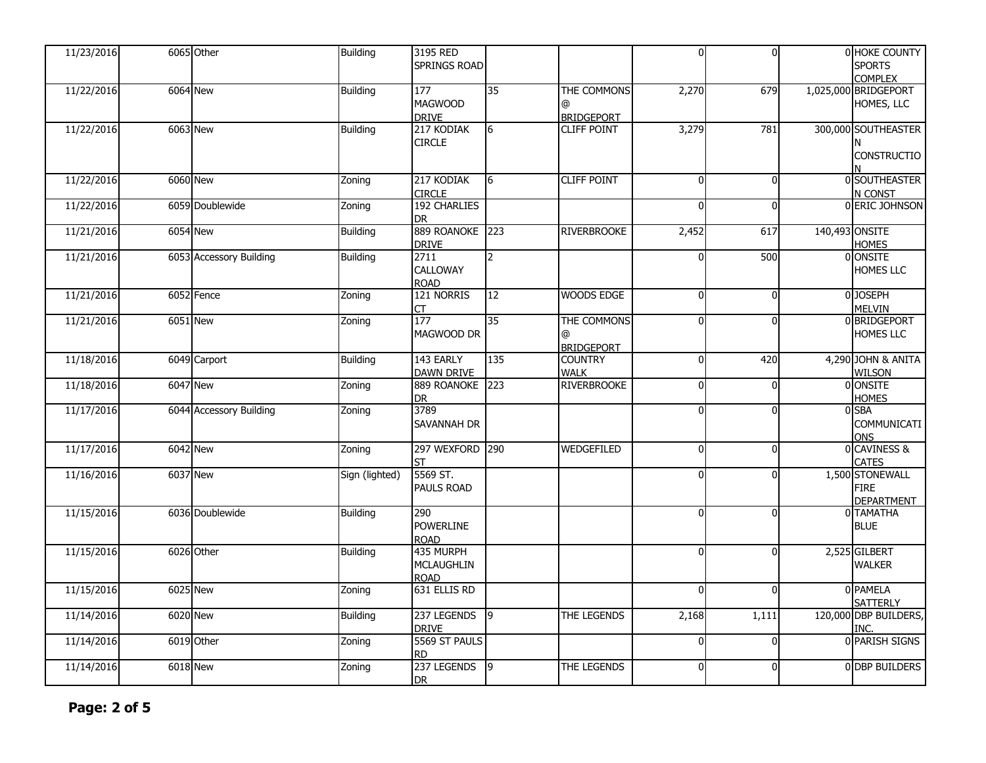| 11/23/2016 |                 | 6065 Other              | <b>Building</b> | 3195 RED<br>SPRINGS ROAD               |                |                                  | $\mathbf{0}$   | $\Omega$     | 0 HOKE COUNTY<br><b>SPORTS</b><br><b>COMPLEX</b>    |
|------------|-----------------|-------------------------|-----------------|----------------------------------------|----------------|----------------------------------|----------------|--------------|-----------------------------------------------------|
| 11/22/2016 |                 | 6064 New                | <b>Building</b> | 177<br><b>MAGWOOD</b><br><b>DRIVE</b>  | 35             | THE COMMONS<br><b>BRIDGEPORT</b> | 2,270          | 679          | 1,025,000 BRIDGEPORT<br>HOMES, LLC                  |
| 11/22/2016 | 6063 New        |                         | <b>Building</b> | 217 KODIAK<br><b>CIRCLE</b>            | 6              | <b>CLIFF POINT</b>               | 3,279          | 781          | 300,000 SOUTHEASTER<br><b>CONSTRUCTIO</b>           |
| 11/22/2016 | <b>6060 New</b> |                         | Zoning          | 217 KODIAK<br><b>CIRCLE</b>            | 6              | <b>CLIFF POINT</b>               | $\mathbf{0}$   | $\Omega$     | 0 SOUTHEASTER<br>N CONST                            |
| 11/22/2016 |                 | 6059 Doublewide         | Zoning          | 192 CHARLIES<br>DR.                    |                |                                  | n              | $\Omega$     | 0 ERIC JOHNSON                                      |
| 11/21/2016 | <b>6054 New</b> |                         | <b>Building</b> | 889 ROANOKE<br><b>DRIVE</b>            | 223            | <b>RIVERBROOKE</b>               | 2,452          | 617          | 140,493 ONSITE<br><b>HOMES</b>                      |
| 11/21/2016 |                 | 6053 Accessory Building | <b>Building</b> | 2711<br>CALLOWAY<br><b>ROAD</b>        | $\overline{2}$ |                                  |                | 500          | 0 ONSITE<br>HOMES LLC                               |
| 11/21/2016 |                 | 6052 Fence              | Zoning          | 121 NORRIS<br>СT                       | 12             | <b>WOODS EDGE</b>                | $\Omega$       | $\Omega$     | 0 JOSEPH<br><b>MELVIN</b>                           |
| 11/21/2016 | <b>6051 New</b> |                         | Zoning          | 177<br>MAGWOOD DR                      | 35             | THE COMMONS<br><b>BRIDGEPORT</b> | $\Omega$       | $\Omega$     | 0 BRIDGEPORT<br><b>HOMES LLC</b>                    |
| 11/18/2016 |                 | 6049 Carport            | <b>Building</b> | 143 EARLY<br><b>DAWN DRIVE</b>         | 135            | <b>COUNTRY</b><br><b>WALK</b>    | $\Omega$       | 420          | 4,290 JOHN & ANITA<br><b>WILSON</b>                 |
| 11/18/2016 | 6047 New        |                         | Zoning          | 889 ROANOKE<br><b>DR</b>               | 223            | <b>RIVERBROOKE</b>               | $\Omega$       | $\Omega$     | 0 ONSITE<br><b>HOMES</b>                            |
| 11/17/2016 |                 | 6044 Accessory Building | Zoning          | 3789<br>Savannah Dr                    |                |                                  | $\Omega$       | $\Omega$     | 0 SBA<br>COMMUNICATI<br><b>ONS</b>                  |
| 11/17/2016 |                 | 6042 New                | Zoning          | 297 WEXFORD 290<br>ςт                  |                | <b>WEDGEFILED</b>                | $\Omega$       | $\Omega$     | 0 CAVINESS &<br><b>CATES</b>                        |
| 11/16/2016 | 6037 New        |                         | Sign (lighted)  | 5569 ST.<br><b>PAULS ROAD</b>          |                |                                  | $\Omega$       | $\Omega$     | 1,500 STONEWALL<br><b>FIRE</b><br><b>DEPARTMENT</b> |
| 11/15/2016 |                 | 6036 Doublewide         | <b>Building</b> | 290<br><b>POWERLINE</b><br><b>ROAD</b> |                |                                  | $\Omega$       | $\Omega$     | <b>O</b> TAMATHA<br><b>BLUE</b>                     |
| 11/15/2016 |                 | 6026 Other              | <b>Building</b> | 435 MURPH<br><b>MCLAUGHLIN</b><br>ROAD |                |                                  | $\Omega$       | $\Omega$     | 2,525 GILBERT<br><b>WALKER</b>                      |
| 11/15/2016 |                 | 6025 New                | Zoning          | 631 ELLIS RD                           |                |                                  | $\Omega$       | $\Omega$     | 0 PAMELA<br><b>SATTERLY</b>                         |
| 11/14/2016 |                 | 6020 New                | <b>Building</b> | 237 LEGENDS<br><b>DRIVE</b>            | l9             | THE LEGENDS                      | 2,168          | 1,111        | 120,000 DBP BUILDERS,<br>INC.                       |
| 11/14/2016 |                 | 6019 Other              | Zoning          | 5569 ST PAULS<br><b>RD</b>             |                |                                  | $\Omega$       | $\Omega$     | 0 PARISH SIGNS                                      |
| 11/14/2016 |                 | <b>6018</b> New         | Zoning          | 237 LEGENDS<br>DR                      | $\sqrt{9}$     | THE LEGENDS                      | $\overline{0}$ | $\mathbf{0}$ | 0 DBP BUILDERS                                      |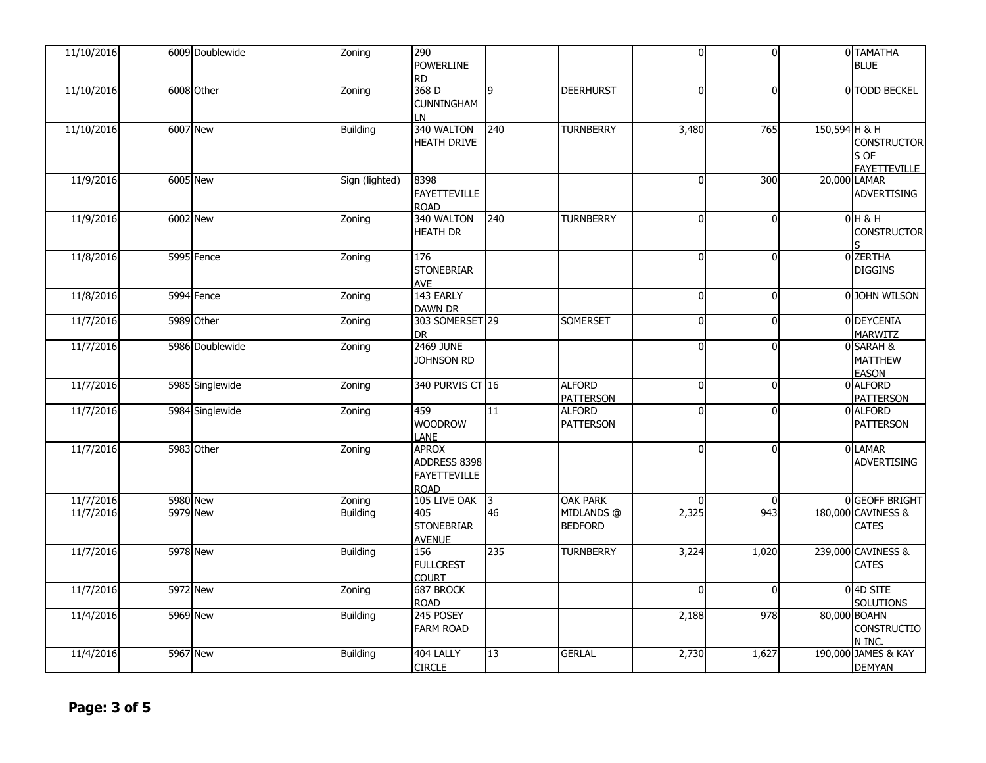| 11/10/2016 | 6009 Doublewide | Zoning          | 290<br><b>POWERLINE</b><br>RD.                              |     |                                   | $\overline{0}$ | $\Omega$       |               | 0 TAMATHA<br><b>BLUE</b>                          |
|------------|-----------------|-----------------|-------------------------------------------------------------|-----|-----------------------------------|----------------|----------------|---------------|---------------------------------------------------|
| 11/10/2016 | 6008 Other      | Zoning          | 368 D<br>CUNNINGHAM<br>N                                    | 9   | <b>DEERHURST</b>                  | $\overline{0}$ | $\Omega$       |               | 0 TODD BECKEL                                     |
| 11/10/2016 | <b>6007 New</b> | <b>Building</b> | 340 WALTON<br><b>HEATH DRIVE</b>                            | 240 | <b>TURNBERRY</b>                  | 3,480          | 765            | 150,594 H & H | <b>CONSTRUCTOR</b><br>S OF<br><b>FAYETTEVILLE</b> |
| 11/9/2016  | 6005 New        | Sign (lighted)  | 8398<br><b>FAYETTEVILLE</b><br><b>ROAD</b>                  |     |                                   | $\Omega$       | 300            |               | 20,000 LAMAR<br><b>ADVERTISING</b>                |
| 11/9/2016  | <b>6002 New</b> | Zoning          | 340 WALTON<br><b>HEATH DR</b>                               | 240 | <b>TURNBERRY</b>                  | $\Omega$       | $\Omega$       |               | 0H8H<br><b>CONSTRUCTOR</b>                        |
| 11/8/2016  | 5995 Fence      | Zoning          | 176<br><b>STONEBRIAR</b><br>AVE                             |     |                                   | $\Omega$       | $\Omega$       |               | <b>ZERTHA</b><br><b>DIGGINS</b>                   |
| 11/8/2016  | 5994 Fence      | Zoning          | 143 EARLY<br><b>DAWN DR</b>                                 |     |                                   | $\Omega$       | $\Omega$       |               | 0 JOHN WILSON                                     |
| 11/7/2016  | 5989 Other      | Zoning          | 303 SOMERSET 29<br><b>DR</b>                                |     | <b>SOMERSET</b>                   | $\Omega$       | $\overline{0}$ |               | 0 DEYCENIA<br><b>MARWITZ</b>                      |
| 11/7/2016  | 5986 Doublewide | Zoning          | <b>2469 JUNE</b><br><b>JOHNSON RD</b>                       |     |                                   | $\Omega$       | $\Omega$       |               | 0 SARAH &<br><b>MATTHEW</b><br><b>EASON</b>       |
| 11/7/2016  | 5985 Singlewide | Zoning          | 340 PURVIS CT 16                                            |     | <b>ALFORD</b><br><b>PATTERSON</b> | $\Omega$       | $\Omega$       |               | 0 ALFORD<br><b>PATTERSON</b>                      |
| 11/7/2016  | 5984 Singlewide | Zoning          | 459<br><b>WOODROW</b><br>LANE                               | 11  | <b>ALFORD</b><br><b>PATTERSON</b> | $\Omega$       | $\Omega$       |               | 0 ALFORD<br><b>PATTERSON</b>                      |
| 11/7/2016  | 5983 Other      | Zoning          | APROX<br>ADDRESS 8398<br><b>FAYETTEVILLE</b><br><b>ROAD</b> |     |                                   | $\Omega$       | $\Omega$       |               | 0 LAMAR<br><b>ADVERTISING</b>                     |
| 11/7/2016  | 5980 New        | Zoning          | 105 LIVE OAK                                                | I3  | <b>OAK PARK</b>                   | $\mathbf{0}$   | $\mathbf{0}$   |               | 0 GEOFF BRIGHT                                    |
| 11/7/2016  | 5979 New        | <b>Building</b> | 405<br><b>STONEBRIAR</b><br><b>AVENUE</b>                   | 46  | MIDLANDS @<br><b>BEDFORD</b>      | 2,325          | 943            |               | 180,000 CAVINESS &<br>CATES                       |
| 11/7/2016  | <b>5978 New</b> | <b>Building</b> | 156<br><b>FULLCREST</b><br><b>COURT</b>                     | 235 | <b>TURNBERRY</b>                  | 3,224          | 1,020          |               | 239,000 CAVINESS &<br>CATES                       |
| 11/7/2016  | 5972 New        | Zoning          | 687 BROCK<br><b>ROAD</b>                                    |     |                                   | $\Omega$       | $\Omega$       |               | 0 4D SITE<br><b>SOLUTIONS</b>                     |
| 11/4/2016  | <b>5969 New</b> | <b>Building</b> | 245 POSEY<br><b>FARM ROAD</b>                               |     |                                   | 2,188          | 978            |               | 80,000 BOAHN<br>CONSTRUCTIO<br>N INC.             |
| 11/4/2016  | 5967 New        | Building        | 404 LALLY<br><b>CIRCLE</b>                                  | 13  | <b>GERLAL</b>                     | 2,730          | 1,627          |               | 190,000 JAMES & KAY<br><b>DEMYAN</b>              |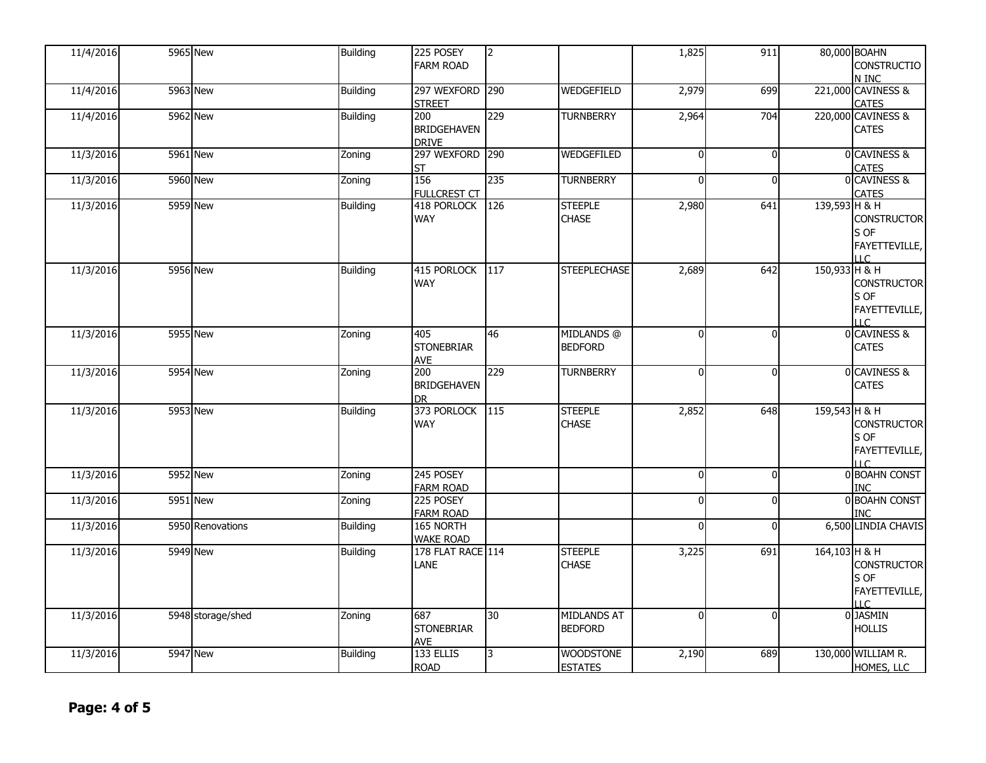| 11/4/2016 | <b>5965 New</b>   | <b>Building</b> | 225 POSEY<br><b>FARM ROAD</b>             | $\overline{2}$ |                                      | 1,825    | 911      |               | 80,000 BOAHN<br><b>CONSTRUCTIO</b><br>N INC                             |
|-----------|-------------------|-----------------|-------------------------------------------|----------------|--------------------------------------|----------|----------|---------------|-------------------------------------------------------------------------|
| 11/4/2016 | <b>5963 New</b>   | <b>Building</b> | 297 WEXFORD<br><b>STREET</b>              | 290            | <b>WEDGEFIELD</b>                    | 2,979    | 699      |               | 221,000 CAVINESS &<br><b>CATES</b>                                      |
| 11/4/2016 | <b>5962 New</b>   | Building        | 200<br><b>BRIDGEHAVEN</b><br><b>DRIVE</b> | 229            | <b>TURNBERRY</b>                     | 2,964    | 704      |               | 220,000 CAVINESS &<br><b>CATES</b>                                      |
| 11/3/2016 | 5961 New          | Zoning          | 297 WEXFORD 290<br>ST                     |                | WEDGEFILED                           | $\Omega$ | $\Omega$ |               | 0 CAVINESS &<br>CATES                                                   |
| 11/3/2016 | <b>5960 New</b>   | Zoning          | 156<br><b>FULLCREST CT</b>                | 235            | <b>TURNBERRY</b>                     | $\Omega$ | $\Omega$ |               | 0 CAVINESS &<br>CATES                                                   |
| 11/3/2016 | <b>5959 New</b>   | <b>Building</b> | 418 PORLOCK<br>WAY                        | 126            | <b>STEEPLE</b><br><b>CHASE</b>       | 2,980    | 641      | 139,593 H & H | <b>CONSTRUCTOR</b><br>S OF<br>FAYETTEVILLE,<br>$\overline{1}$           |
| 11/3/2016 | <b>5956 New</b>   | <b>Building</b> | 415 PORLOCK<br><b>WAY</b>                 | 117            | <b>STEEPLECHASE</b>                  | 2,689    | 642      | 150,933 H & H | <b>CONSTRUCTOR</b><br>S OF<br>FAYETTEVILLE,<br>$\overline{1}$           |
| 11/3/2016 | <b>5955 New</b>   | Zoning          | 405<br><b>STONEBRIAR</b><br><b>AVE</b>    | 46             | MIDLANDS @<br><b>BEDFORD</b>         | $\Omega$ | $\Omega$ |               | 0 CAVINESS &<br><b>CATES</b>                                            |
| 11/3/2016 | <b>5954 New</b>   | Zoning          | 200<br><b>BRIDGEHAVEN</b><br>DR           | 229            | <b>TURNBERRY</b>                     | $\Omega$ | $\Omega$ |               | 0 CAVINESS &<br><b>CATES</b>                                            |
| 11/3/2016 | <b>5953 New</b>   | <b>Building</b> | 373 PORLOCK<br><b>WAY</b>                 | 115            | <b>STEEPLE</b><br><b>CHASE</b>       | 2,852    | 648      | 159,543 H & H | <b>CONSTRUCTOR</b><br>S OF<br>FAYETTEVILLE,<br>$\overline{1}$           |
| 11/3/2016 | 5952 New          | Zoning          | 245 POSEY<br><b>FARM ROAD</b>             |                |                                      | $\Omega$ | $\Omega$ |               | 0 BOAHN CONST<br><b>INC</b>                                             |
| 11/3/2016 | <b>5951 New</b>   | Zoning          | 225 POSEY<br><b>FARM ROAD</b>             |                |                                      | $\Omega$ | $\Omega$ |               | 0 BOAHN CONST<br>INC                                                    |
| 11/3/2016 | 5950 Renovations  | <b>Building</b> | 165 NORTH<br><b>WAKE ROAD</b>             |                |                                      | $\Omega$ | $\Omega$ |               | 6,500 LINDIA CHAVIS                                                     |
| 11/3/2016 | 5949 New          | <b>Building</b> | 178 FLAT RACE 114<br>LANE                 |                | <b>STEEPLE</b><br><b>CHASE</b>       | 3,225    | 691      | 164,103 H & H | <b>CONSTRUCTOR</b><br>S OF<br>FAYETTEVILLE,<br>$\overline{\mathsf{LC}}$ |
| 11/3/2016 | 5948 storage/shed | Zoning          | 687<br><b>STONEBRIAR</b><br><b>AVE</b>    | 30             | <b>MIDLANDS AT</b><br><b>BEDFORD</b> | $\Omega$ | $\Omega$ |               | 0 JASMIN<br><b>HOLLIS</b>                                               |
| 11/3/2016 | 5947 New          | Building        | 133 ELLIS<br><b>ROAD</b>                  | $\overline{3}$ | <b>WOODSTONE</b><br><b>ESTATES</b>   | 2,190    | 689      |               | 130,000 WILLIAM R.<br>HOMES, LLC                                        |